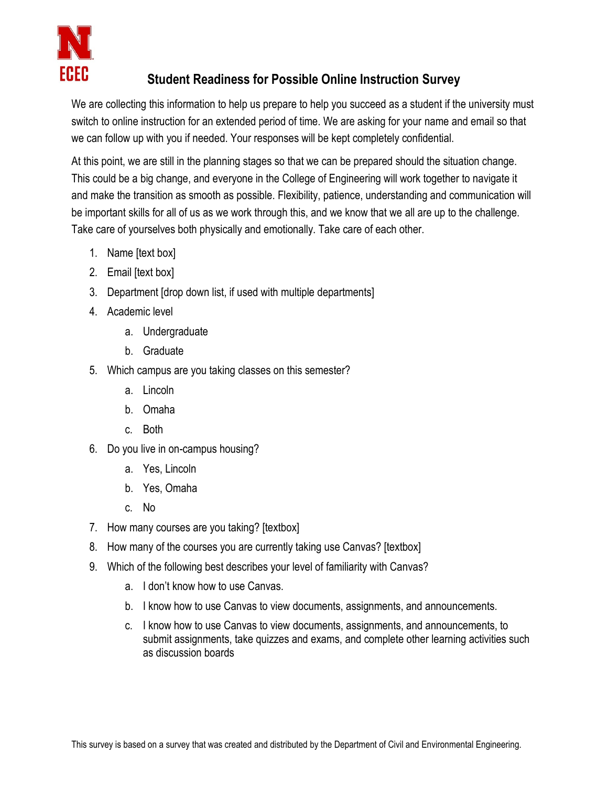

## **Student Readiness for Possible Online Instruction Survey**

We are collecting this information to help us prepare to help you succeed as a student if the university must switch to online instruction for an extended period of time. We are asking for your name and email so that we can follow up with you if needed. Your responses will be kept completely confidential.

At this point, we are still in the planning stages so that we can be prepared should the situation change. This could be a big change, and everyone in the College of Engineering will work together to navigate it and make the transition as smooth as possible. Flexibility, patience, understanding and communication will be important skills for all of us as we work through this, and we know that we all are up to the challenge. Take care of yourselves both physically and emotionally. Take care of each other.

- 1. Name [text box]
- 2. Email [text box]
- 3. Department [drop down list, if used with multiple departments]
- 4. Academic level
	- a. Undergraduate
	- b. Graduate
- 5. Which campus are you taking classes on this semester?
	- a. Lincoln
	- b. Omaha
	- c. Both
- 6. Do you live in on-campus housing?
	- a. Yes, Lincoln
	- b. Yes, Omaha
	- c. No
- 7. How many courses are you taking? [textbox]
- 8. How many of the courses you are currently taking use Canvas? [textbox]
- 9. Which of the following best describes your level of familiarity with Canvas?
	- a. I don't know how to use Canvas.
	- b. I know how to use Canvas to view documents, assignments, and announcements.
	- c. I know how to use Canvas to view documents, assignments, and announcements, to submit assignments, take quizzes and exams, and complete other learning activities such as discussion boards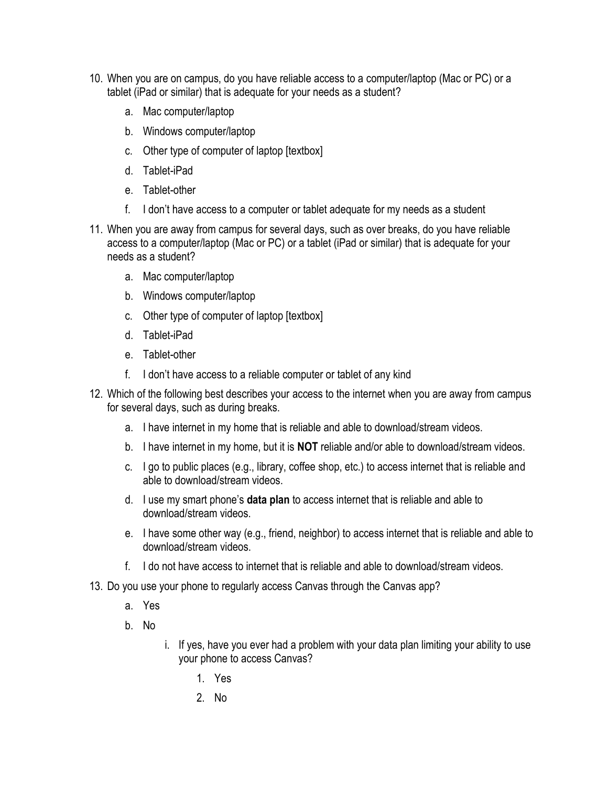- 10. When you are on campus, do you have reliable access to a computer/laptop (Mac or PC) or a tablet (iPad or similar) that is adequate for your needs as a student?
	- a. Mac computer/laptop
	- b. Windows computer/laptop
	- c. Other type of computer of laptop [textbox]
	- d. Tablet-iPad
	- e. Tablet-other
	- f. I don't have access to a computer or tablet adequate for my needs as a student
- 11. When you are away from campus for several days, such as over breaks, do you have reliable access to a computer/laptop (Mac or PC) or a tablet (iPad or similar) that is adequate for your needs as a student?
	- a. Mac computer/laptop
	- b. Windows computer/laptop
	- c. Other type of computer of laptop [textbox]
	- d. Tablet-iPad
	- e. Tablet-other
	- f. I don't have access to a reliable computer or tablet of any kind
- 12. Which of the following best describes your access to the internet when you are away from campus for several days, such as during breaks.
	- a. I have internet in my home that is reliable and able to download/stream videos.
	- b. I have internet in my home, but it is **NOT** reliable and/or able to download/stream videos.
	- c. I go to public places (e.g., library, coffee shop, etc.) to access internet that is reliable and able to download/stream videos.
	- d. I use my smart phone's **data plan** to access internet that is reliable and able to download/stream videos.
	- e. I have some other way (e.g., friend, neighbor) to access internet that is reliable and able to download/stream videos.
	- f. I do not have access to internet that is reliable and able to download/stream videos.
- 13. Do you use your phone to regularly access Canvas through the Canvas app?
	- a. Yes
	- b. No
- i. If yes, have you ever had a problem with your data plan limiting your ability to use your phone to access Canvas?
	- 1. Yes
	- 2. No